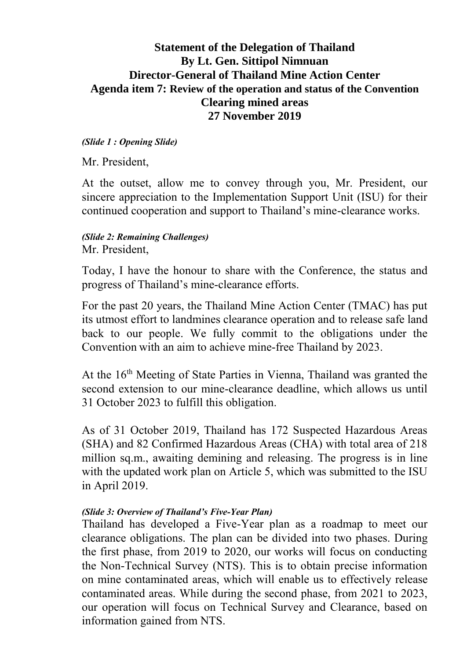## **Statement of the Delegation of Thailand By Lt. Gen. Sittipol Nimnuan Director-General of Thailand Mine Action Center Agenda item 7: Review of the operation and status of the Convention Clearing mined areas 27 November 2019**

#### *(Slide 1 : Opening Slide)*

Mr. President,

At the outset, allow me to convey through you, Mr. President, our sincere appreciation to the Implementation Support Unit (ISU) for their continued cooperation and support to Thailand's mine-clearance works.

#### *(Slide 2: Remaining Challenges)* Mr. President,

Today, I have the honour to share with the Conference, the status and progress of Thailand's mine-clearance efforts.

For the past 20 years, the Thailand Mine Action Center (TMAC) has put its utmost effort to landmines clearance operation and to release safe land back to our people. We fully commit to the obligations under the Convention with an aim to achieve mine-free Thailand by 2023.

At the 16<sup>th</sup> Meeting of State Parties in Vienna, Thailand was granted the second extension to our mine-clearance deadline, which allows us until 31 October 2023 to fulfill this obligation.

As of 31 October 2019, Thailand has 172 Suspected Hazardous Areas (SHA) and 82 Confirmed Hazardous Areas (CHA) with total area of 218 million sq.m., awaiting demining and releasing. The progress is in line with the updated work plan on Article 5, which was submitted to the ISU in April 2019.

#### *(Slide 3: Overview of Thailand's Five-Year Plan)*

Thailand has developed a Five-Year plan as a roadmap to meet our clearance obligations. The plan can be divided into two phases. During the first phase, from 2019 to 2020, our works will focus on conducting the Non-Technical Survey (NTS). This is to obtain precise information on mine contaminated areas, which will enable us to effectively release contaminated areas. While during the second phase, from 2021 to 2023, our operation will focus on Technical Survey and Clearance, based on information gained from NTS.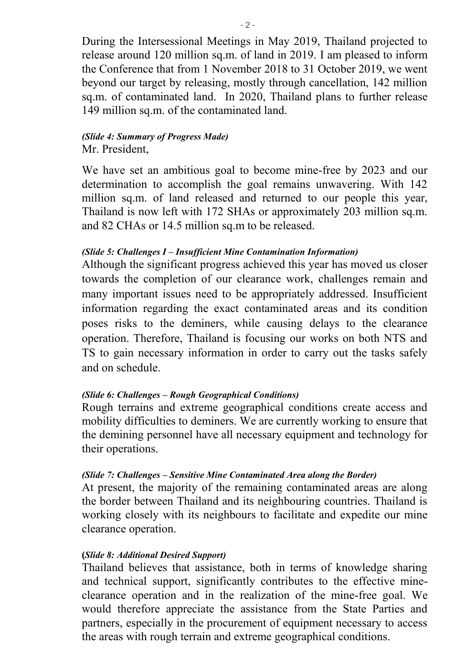During the Intersessional Meetings in May 2019, Thailand projected to release around 120 million sq.m. of land in 2019. I am pleased to inform the Conference that from 1 November 2018 to 31 October 2019, we went beyond our target by releasing, mostly through cancellation, 142 million sq.m. of contaminated land. In 2020, Thailand plans to further release 149 million sq.m. of the contaminated land.

#### *(Slide 4: Summary of Progress Made)* Mr. President,

We have set an ambitious goal to become mine-free by 2023 and our determination to accomplish the goal remains unwavering. With 142 million sq.m. of land released and returned to our people this year, Thailand is now left with 172 SHAs or approximately 203 million sq.m. and 82 CHAs or 14.5 million sq.m to be released.

## *(Slide 5: Challenges I – Insufficient Mine Contamination Information)*

Although the significant progress achieved this year has moved us closer towards the completion of our clearance work, challenges remain and many important issues need to be appropriately addressed. Insufficient information regarding the exact contaminated areas and its condition poses risks to the deminers, while causing delays to the clearance operation. Therefore, Thailand is focusing our works on both NTS and TS to gain necessary information in order to carry out the tasks safely and on schedule.

## *(Slide 6: Challenges – Rough Geographical Conditions)*

Rough terrains and extreme geographical conditions create access and mobility difficulties to deminers. We are currently working to ensure that the demining personnel have all necessary equipment and technology for their operations.

## *(Slide 7: Challenges – Sensitive Mine Contaminated Area along the Border)*

At present, the majority of the remaining contaminated areas are along the border between Thailand and its neighbouring countries. Thailand is working closely with its neighbours to facilitate and expedite our mine clearance operation.

## **(***Slide 8: Additional Desired Support)*

Thailand believes that assistance, both in terms of knowledge sharing and technical support, significantly contributes to the effective mineclearance operation and in the realization of the mine-free goal. We would therefore appreciate the assistance from the State Parties and partners, especially in the procurement of equipment necessary to access the areas with rough terrain and extreme geographical conditions.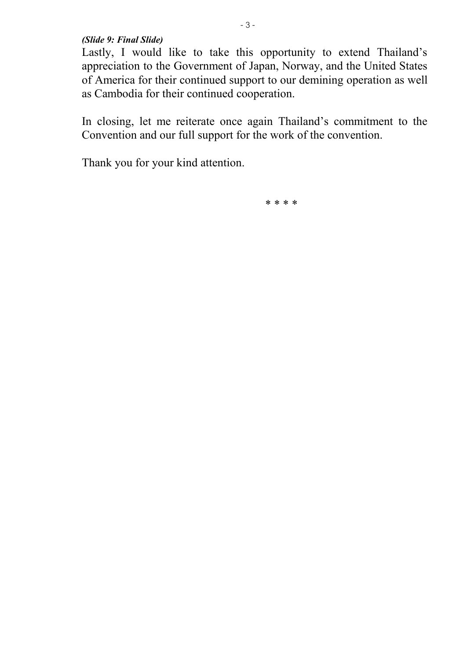*(Slide 9: Final Slide)*

Lastly, I would like to take this opportunity to extend Thailand's appreciation to the Government of Japan, Norway, and the United States of America for their continued support to our demining operation as well as Cambodia for their continued cooperation.

In closing, let me reiterate once again Thailand's commitment to the Convention and our full support for the work of the convention.

Thank you for your kind attention.

\* \* \* \*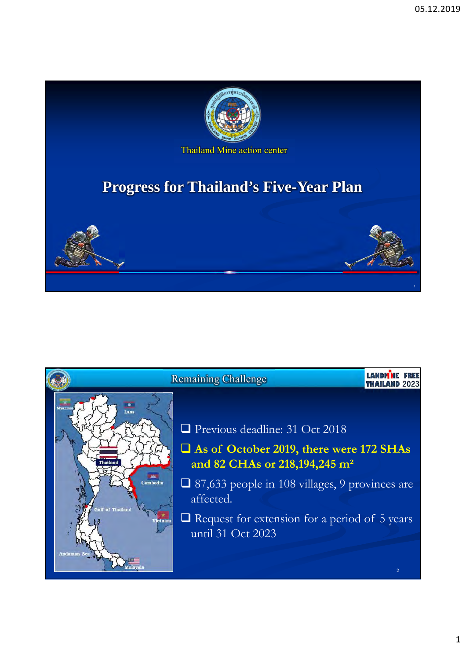

Thailand Mine action center

# **Progress for Thailand's Five-Year Plan**



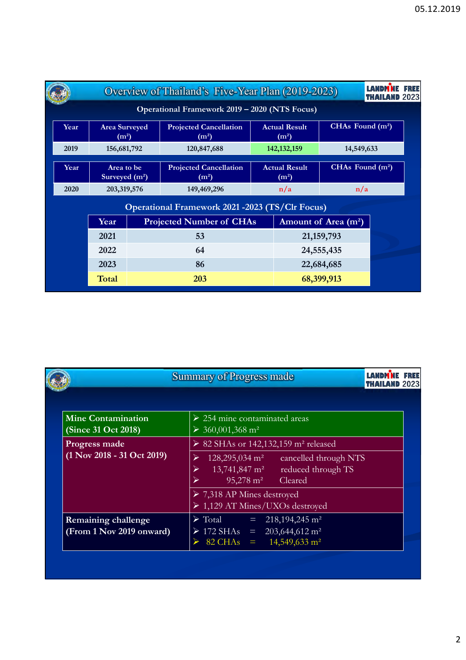|      |                                                                                            |  | Overview of Thailand's Five-Year Plan (2019-2023)                   |                                           |               |                                 | <b>LANDM NE FREE</b><br><b>THAILAND 2023</b> |  |
|------|--------------------------------------------------------------------------------------------|--|---------------------------------------------------------------------|-------------------------------------------|---------------|---------------------------------|----------------------------------------------|--|
|      |                                                                                            |  | Operational Framework 2019 – 2020 (NTS Focus)                       |                                           |               |                                 |                                              |  |
| Year | <b>Area Surveyed</b><br>(m <sup>2</sup> )<br>156,681,792<br>Area to be<br>Surveyed $(m^2)$ |  | <b>Projected Cancellation</b><br>(m <sup>2</sup> )                  | <b>Actual Result</b><br>(m <sup>2</sup> ) |               | CHAs Found (m <sup>2</sup> )    |                                              |  |
| 2019 |                                                                                            |  | 120,847,688                                                         |                                           | 142, 132, 159 | 14,549,633<br>CHAs Found $(m2)$ |                                              |  |
| Year |                                                                                            |  | <b>Projected Cancellation</b><br>(m <sup>2</sup> )                  | <b>Actual Result</b><br>(m <sup>2</sup> ) |               |                                 |                                              |  |
| 2020 | 203,319,576                                                                                |  | 149,469,296                                                         | n/a                                       |               | n/a                             |                                              |  |
|      |                                                                                            |  | <b>Operational Framework 2021 -2023 (TS/Clr Focus)</b>              |                                           |               |                                 |                                              |  |
|      | Year                                                                                       |  | <b>Projected Number of CHAs</b><br>Amount of Area (m <sup>2</sup> ) |                                           |               |                                 |                                              |  |
|      | 2021                                                                                       |  | 53                                                                  |                                           | 21, 159, 793  |                                 |                                              |  |
|      | 2022                                                                                       |  | 64                                                                  |                                           |               | 24,555,435                      |                                              |  |
|      | 2023                                                                                       |  | 86                                                                  |                                           | 22,684,685    |                                 |                                              |  |
|      | Total                                                                                      |  | 203                                                                 |                                           |               | 68,399,913                      |                                              |  |

|                                                                 | <b>Summary of Progress made</b><br><b>LAMBMNF</b><br>FREE<br><b>THAILAND 2023</b>                                                                                                                                                                                                                  |
|-----------------------------------------------------------------|----------------------------------------------------------------------------------------------------------------------------------------------------------------------------------------------------------------------------------------------------------------------------------------------------|
| <b>Mine Contamination</b><br><b>(Since 31 Oct 2018)</b>         | $\triangleright$ 254 mine contaminated areas<br>$\geq 360,001,368$ m <sup>2</sup>                                                                                                                                                                                                                  |
| Progress made<br>$(1 \text{ Nov } 2018 - 31 \text{ Oct } 2019)$ | $\geq 82$ SHAs or 142,132,159 m <sup>2</sup> released<br>$128,295,034 \text{ m}^2$<br>cancelled through NTS<br>$13,741,847$ m <sup>2</sup><br>reduced through TS<br>$95,278 \text{ m}^2$<br>Cleared<br>$\triangleright$ 7,318 AP Mines destroyed<br>$\triangleright$ 1,129 AT Mines/UXOs destroyed |
| <b>Remaining challenge</b><br>(From 1 Nov 2019 onward)          | $\triangleright$ Total = 218,194,245 m <sup>2</sup><br>$\triangleright$ 172 SHAs = 203,644,612 m <sup>2</sup><br>$82 \text{ CHAs} = 14,549,633 \text{ m}^2$                                                                                                                                        |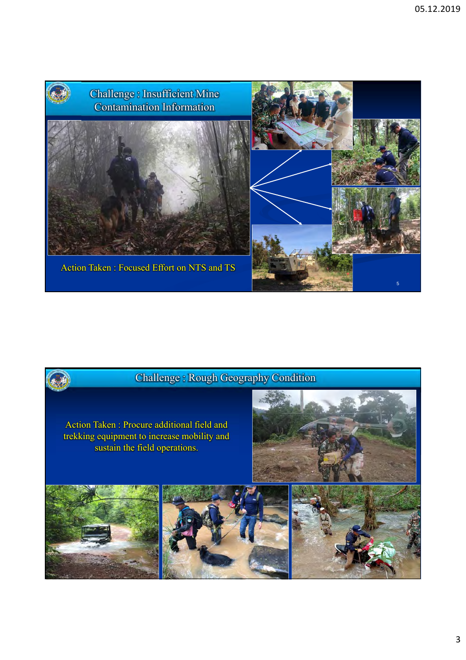



Action Taken : Procure additional field and trekking equipment to increase mobility and sustain the field operations.



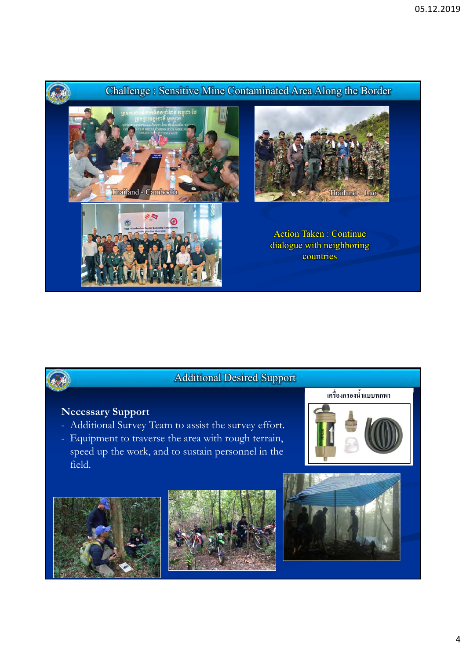



# Additional Desired Support

## **Necessary Support**

- Additional Survey Team to assist the survey effort.
- Equipment to traverse the area with rough terrain, speed up the work, and to sustain personnel in the field.